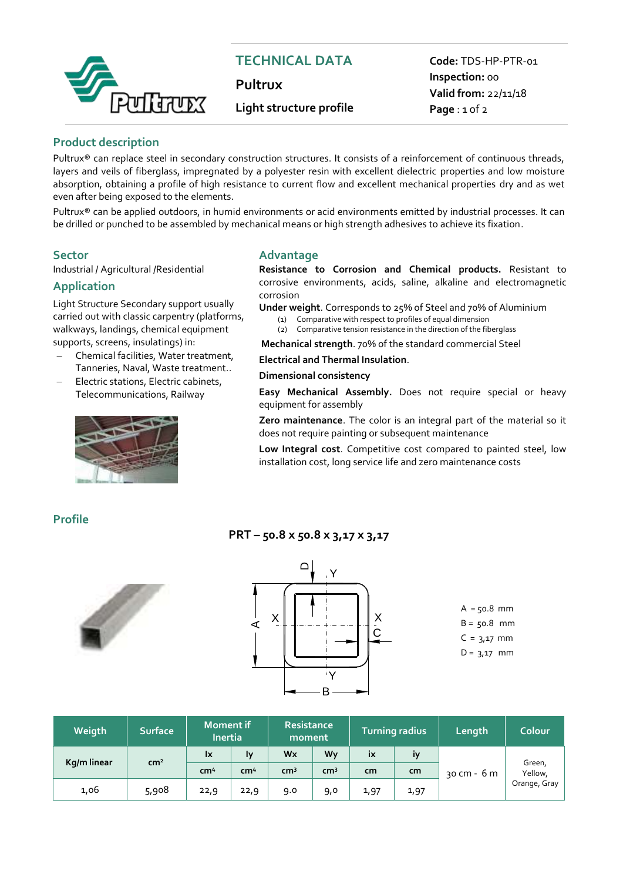

# **TECHNICAL DATA**

**Pultrux**

## **Light structure profile**

**Code:** TDS-HP-PTR-01 **Inspection:** 00 **Valid from:** 22/11/18 **Page** : 1 of 2

#### **Product description**

Pultrux® can replace steel in secondary construction structures. It consists of a reinforcement of continuous threads, layers and veils of fiberglass, impregnated by a polyester resin with excellent dielectric properties and low moisture absorption, obtaining a profile of high resistance to current flow and excellent mechanical properties dry and as wet even after being exposed to the elements.

Pultrux® can be applied outdoors, in humid environments or acid environments emitted by industrial processes. It can be drilled or punched to be assembled by mechanical means or high strength adhesives to achieve its fixation.

Industrial / Agricultural /Residential

#### **Application**

Light Structure Secondary support usually carried out with classic carpentry (platforms, walkways, landings, chemical equipment supports, screens, insulatings) in:

- Chemical facilities, Water treatment, Tanneries, Naval, Waste treatment..
- Electric stations, Electric cabinets, Telecommunications, Railway



#### **Sector Advantage**

**Resistance to Corrosion and Chemical products.** Resistant to corrosive environments, acids, saline, alkaline and electromagnetic corrosion

**Under weight**. Corresponds to 25% of Steel and 70% of Aluminium (1) Comparative with respect to profiles of equal dimension

(2) Comparative tension resistance in the direction of the fiberglass

**Mechanical strength**. 70% of the standard commercial Steel

**Electrical and Thermal Insulation**.

#### **Dimensional consistency**

**Easy Mechanical Assembly.** Does not require special or heavy equipment for assembly

**Zero maintenance**. The color is an integral part of the material so it does not require painting or subsequent maintenance

**Low Integral cost**. Competitive cost compared to painted steel, low installation cost, long service life and zero maintenance costs

#### **Profile**





**PRT – 50.8 x 50.8 x 3,17 x 3,17**

 $A = 50.8$  mm  $B = 50.8$  mm  $C = 3,17$  mm  $D = 3,17$  mm

| Weigth      | <b>Surface</b>  | <b>Moment if</b><br><b>Inertia</b> |                 | <b>Resistance</b><br>moment |                 | Turning radius |      | Length      | Colour                            |
|-------------|-----------------|------------------------------------|-----------------|-----------------------------|-----------------|----------------|------|-------------|-----------------------------------|
| Kg/m linear | cm <sup>2</sup> | <b>Ix</b>                          | Ιy              | Wx                          | Wv              | <b>IX</b>      | İV   |             | Green,<br>Yellow,<br>Orange, Gray |
|             |                 | cm <sup>4</sup>                    | cm <sup>4</sup> | cm <sup>3</sup>             | cm <sup>3</sup> | cm             | cm   | 30 cm - 6 m |                                   |
| 1,06        | 5,908           | 22,9                               | 22,9            | 9.0                         | 9,0             | 1,97           | 1,97 |             |                                   |